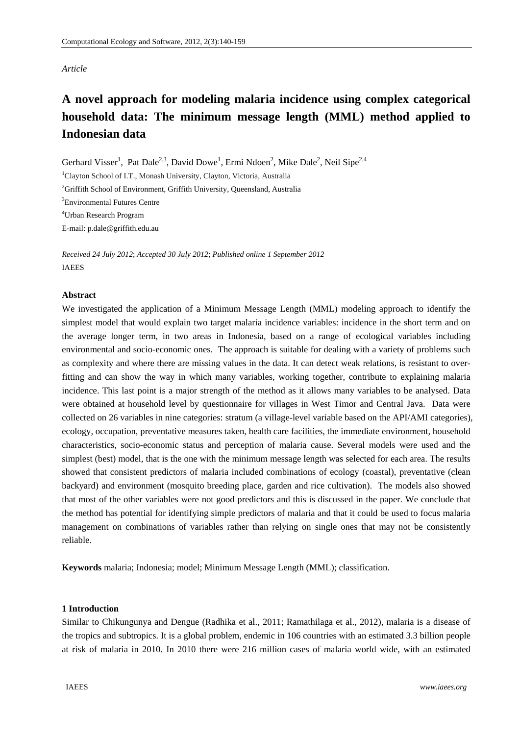# *Article*

# **A novel approach for modeling malaria incidence using complex categorical household data: The minimum message length (MML) method applied to Indonesian data**

Gerhard Visser<sup>1</sup>, Pat Dale<sup>2,3</sup>, David Dowe<sup>1</sup>, Ermi Ndoen<sup>2</sup>, Mike Dale<sup>2</sup>, Neil Sipe<sup>2,4</sup>

<sup>1</sup>Clayton School of I.T., Monash University, Clayton, Victoria, Australia <sup>2</sup>Griffith School of Environment, Griffith University, Queensland, Australia 3 Environmental Futures Centre 4 Urban Research Program E-mail: p.dale@griffith.edu.au

*Received 24 July 2012*; *Accepted 30 July 2012*; *Published online 1 September 2012*  IAEES

## **Abstract**

We investigated the application of a Minimum Message Length (MML) modeling approach to identify the simplest model that would explain two target malaria incidence variables: incidence in the short term and on the average longer term, in two areas in Indonesia, based on a range of ecological variables including environmental and socio-economic ones. The approach is suitable for dealing with a variety of problems such as complexity and where there are missing values in the data. It can detect weak relations, is resistant to overfitting and can show the way in which many variables, working together, contribute to explaining malaria incidence. This last point is a major strength of the method as it allows many variables to be analysed. Data were obtained at household level by questionnaire for villages in West Timor and Central Java. Data were collected on 26 variables in nine categories: stratum (a village-level variable based on the API/AMI categories), ecology, occupation, preventative measures taken, health care facilities, the immediate environment, household characteristics, socio-economic status and perception of malaria cause. Several models were used and the simplest (best) model, that is the one with the minimum message length was selected for each area. The results showed that consistent predictors of malaria included combinations of ecology (coastal), preventative (clean backyard) and environment (mosquito breeding place, garden and rice cultivation). The models also showed that most of the other variables were not good predictors and this is discussed in the paper. We conclude that the method has potential for identifying simple predictors of malaria and that it could be used to focus malaria management on combinations of variables rather than relying on single ones that may not be consistently reliable.

**Keywords** malaria; Indonesia; model; Minimum Message Length (MML); classification.

# **1 Introduction**

Similar to Chikungunya and Dengue (Radhika et al., 2011; Ramathilaga et al., 2012), malaria is a disease of the tropics and subtropics. It is a global problem, endemic in 106 countries with an estimated 3.3 billion people at risk of malaria in 2010. In 2010 there were 216 million cases of malaria world wide, with an estimated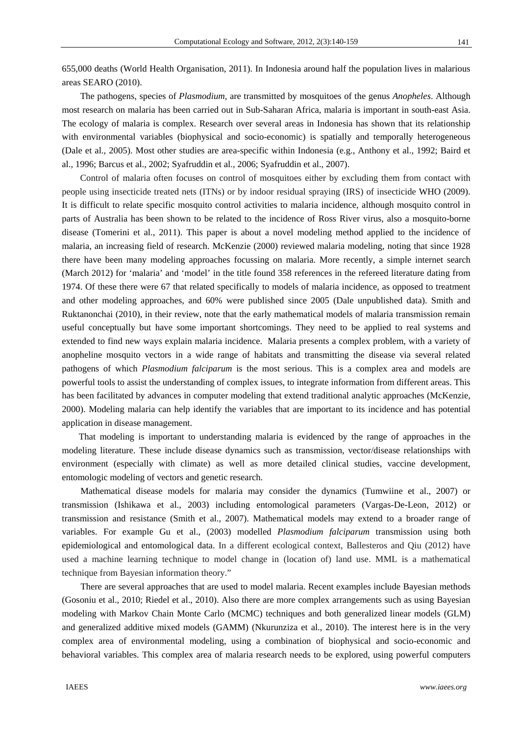655,000 deaths (World Health Organisation, 2011). In Indonesia around half the population lives in malarious areas SEARO (2010).

The pathogens, species of *Plasmodium,* are transmitted by mosquitoes of the genus *Anopheles*. Although most research on malaria has been carried out in Sub-Saharan Africa, malaria is important in south-east Asia. The ecology of malaria is complex. Research over several areas in Indonesia has shown that its relationship with environmental variables (biophysical and socio-economic) is spatially and temporally heterogeneous (Dale et al., 2005). Most other studies are area-specific within Indonesia (e.g., Anthony et al., 1992; Baird et al., 1996; Barcus et al., 2002; Syafruddin et al., 2006; Syafruddin et al., 2007).

Control of malaria often focuses on control of mosquitoes either by excluding them from contact with people using insecticide treated nets (ITNs) or by indoor residual spraying (IRS) of insecticide WHO (2009). It is difficult to relate specific mosquito control activities to malaria incidence, although mosquito control in parts of Australia has been shown to be related to the incidence of Ross River virus, also a mosquito-borne disease (Tomerini et al., 2011). This paper is about a novel modeling method applied to the incidence of malaria, an increasing field of research. McKenzie (2000) reviewed malaria modeling, noting that since 1928 there have been many modeling approaches focussing on malaria. More recently, a simple internet search (March 2012) for 'malaria' and 'model' in the title found 358 references in the refereed literature dating from 1974. Of these there were 67 that related specifically to models of malaria incidence, as opposed to treatment and other modeling approaches, and 60% were published since 2005 (Dale unpublished data). Smith and Ruktanonchai (2010), in their review, note that the early mathematical models of malaria transmission remain useful conceptually but have some important shortcomings. They need to be applied to real systems and extended to find new ways explain malaria incidence. Malaria presents a complex problem, with a variety of anopheline mosquito vectors in a wide range of habitats and transmitting the disease via several related pathogens of which *Plasmodium falciparum* is the most serious. This is a complex area and models are powerful tools to assist the understanding of complex issues, to integrate information from different areas. This has been facilitated by advances in computer modeling that extend traditional analytic approaches (McKenzie, 2000). Modeling malaria can help identify the variables that are important to its incidence and has potential application in disease management.

That modeling is important to understanding malaria is evidenced by the range of approaches in the modeling literature. These include disease dynamics such as transmission, vector/disease relationships with environment (especially with climate) as well as more detailed clinical studies, vaccine development, entomologic modeling of vectors and genetic research.

Mathematical disease models for malaria may consider the dynamics (Tumwiine et al., 2007) or transmission (Ishikawa et al., 2003) including entomological parameters (Vargas-De-Leon, 2012) or transmission and resistance (Smith et al., 2007). Mathematical models may extend to a broader range of variables. For example Gu et al., (2003) modelled *Plasmodium falciparum* transmission using both epidemiological and entomological data. In a different ecological context, Ballesteros and Qiu (2012) have used a machine learning technique to model change in (location of) land use. MML is a mathematical technique from Bayesian information theory."

There are several approaches that are used to model malaria. Recent examples include Bayesian methods (Gosoniu et al., 2010; Riedel et al., 2010). Also there are more complex arrangements such as using Bayesian modeling with Markov Chain Monte Carlo (MCMC) techniques and both generalized linear models (GLM) and generalized additive mixed models (GAMM) (Nkurunziza et al., 2010). The interest here is in the very complex area of environmental modeling, using a combination of biophysical and socio-economic and behavioral variables. This complex area of malaria research needs to be explored, using powerful computers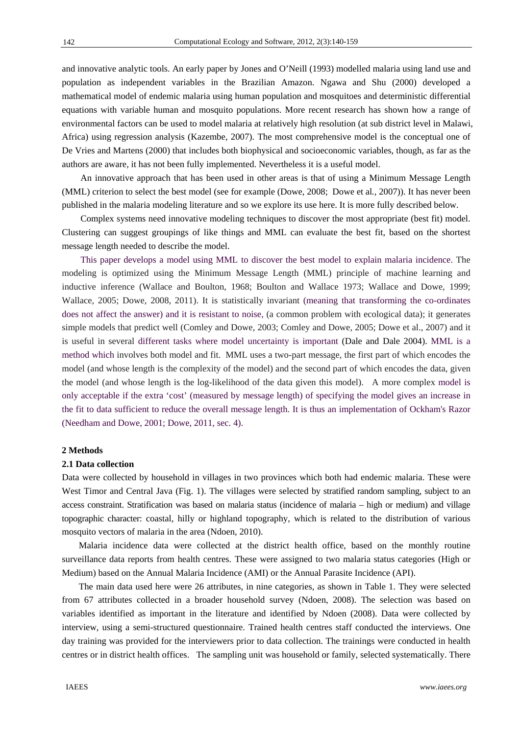and innovative analytic tools. An early paper by Jones and O'Neill (1993) modelled malaria using land use and population as independent variables in the Brazilian Amazon. Ngawa and Shu (2000) developed a mathematical model of endemic malaria using human population and mosquitoes and deterministic differential equations with variable human and mosquito populations. More recent research has shown how a range of environmental factors can be used to model malaria at relatively high resolution (at sub district level in Malawi, Africa) using regression analysis (Kazembe, 2007). The most comprehensive model is the conceptual one of De Vries and Martens (2000) that includes both biophysical and socioeconomic variables, though, as far as the authors are aware, it has not been fully implemented. Nevertheless it is a useful model.

An innovative approach that has been used in other areas is that of using a Minimum Message Length (MML) criterion to select the best model (see for example (Dowe, 2008; Dowe et al*.,* 2007)). It has never been published in the malaria modeling literature and so we explore its use here. It is more fully described below.

Complex systems need innovative modeling techniques to discover the most appropriate (best fit) model. Clustering can suggest groupings of like things and MML can evaluate the best fit, based on the shortest message length needed to describe the model.

This paper develops a model using MML to discover the best model to explain malaria incidence. The modeling is optimized using the Minimum Message Length (MML) principle of machine learning and inductive inference (Wallace and Boulton, 1968; Boulton and Wallace 1973; Wallace and Dowe, 1999; Wallace, 2005; Dowe, 2008, 2011). It is statistically invariant (meaning that transforming the co-ordinates does not affect the answer) and it is resistant to noise, (a common problem with ecological data); it generates simple models that predict well (Comley and Dowe, 2003; Comley and Dowe, 2005; Dowe et al., 2007) and it is useful in several different tasks where model uncertainty is important (Dale and Dale 2004). MML is a method which involves both model and fit. MML uses a two-part message, the first part of which encodes the model (and whose length is the complexity of the model) and the second part of which encodes the data, given the model (and whose length is the log-likelihood of the data given this model). A more complex model is only acceptable if the extra 'cost' (measured by message length) of specifying the model gives an increase in the fit to data sufficient to reduce the overall message length. It is thus an implementation of Ockham's Razor (Needham and Dowe, 2001; Dowe, 2011, sec. 4).

#### **2 Methods**

#### **2.1 Data collection**

Data were collected by household in villages in two provinces which both had endemic malaria. These were West Timor and Central Java (Fig. 1). The villages were selected by stratified random sampling, subject to an access constraint. Stratification was based on malaria status (incidence of malaria – high or medium) and village topographic character: coastal, hilly or highland topography, which is related to the distribution of various mosquito vectors of malaria in the area (Ndoen, 2010).

Malaria incidence data were collected at the district health office, based on the monthly routine surveillance data reports from health centres. These were assigned to two malaria status categories (High or Medium) based on the Annual Malaria Incidence (AMI) or the Annual Parasite Incidence (API).

The main data used here were 26 attributes, in nine categories, as shown in Table 1. They were selected from 67 attributes collected in a broader household survey (Ndoen, 2008). The selection was based on variables identified as important in the literature and identified by Ndoen (2008). Data were collected by interview, using a semi-structured questionnaire. Trained health centres staff conducted the interviews. One day training was provided for the interviewers prior to data collection. The trainings were conducted in health centres or in district health offices. The sampling unit was household or family, selected systematically. There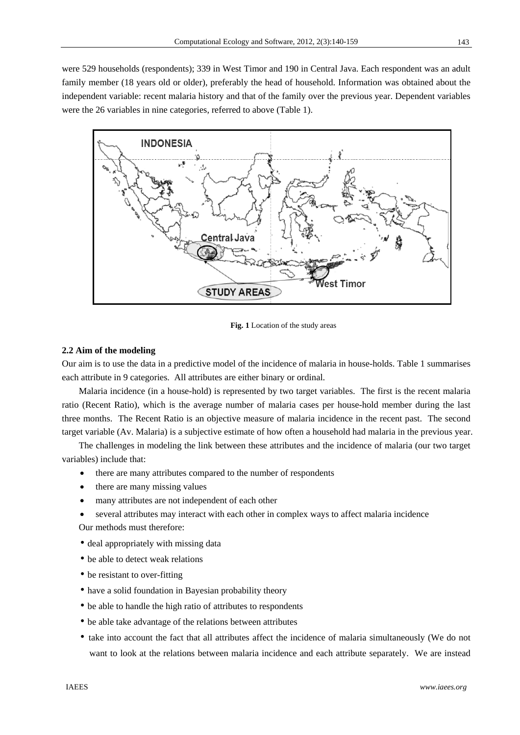were 529 households (respondents); 339 in West Timor and 190 in Central Java. Each respondent was an adult family member (18 years old or older), preferably the head of household. Information was obtained about the independent variable: recent malaria history and that of the family over the previous year. Dependent variables were the 26 variables in nine categories, referred to above (Table 1).



**Fig. 1** Location of the study areas

## **2.2 Aim of the modeling**

Our aim is to use the data in a predictive model of the incidence of malaria in house-holds. Table 1 summarises each attribute in 9 categories. All attributes are either binary or ordinal.

Malaria incidence (in a house-hold) is represented by two target variables. The first is the recent malaria ratio (Recent Ratio), which is the average number of malaria cases per house-hold member during the last three months. The Recent Ratio is an objective measure of malaria incidence in the recent past. The second target variable (Av. Malaria) is a subjective estimate of how often a household had malaria in the previous year.

The challenges in modeling the link between these attributes and the incidence of malaria (our two target variables) include that:

- there are many attributes compared to the number of respondents
- there are many missing values
- many attributes are not independent of each other
- several attributes may interact with each other in complex ways to affect malaria incidence Our methods must therefore:
- deal appropriately with missing data
- be able to detect weak relations
- be resistant to over-fitting
- have a solid foundation in Bayesian probability theory
- be able to handle the high ratio of attributes to respondents
- be able take advantage of the relations between attributes
- take into account the fact that all attributes affect the incidence of malaria simultaneously (We do not want to look at the relations between malaria incidence and each attribute separately. We are instead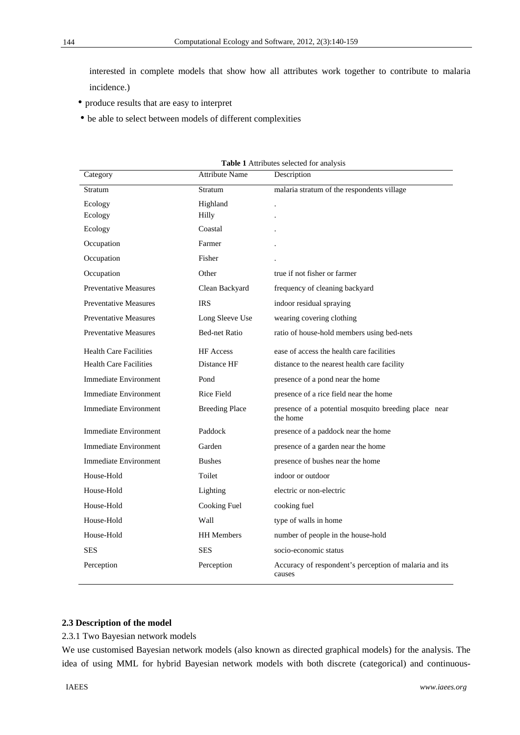interested in complete models that show how all attributes work together to contribute to malaria incidence.)

- produce results that are easy to interpret
- be able to select between models of different complexities

| Category                      | <b>Attribute Name</b> | Description                                                      |
|-------------------------------|-----------------------|------------------------------------------------------------------|
| Stratum                       | Stratum               | malaria stratum of the respondents village                       |
| Ecology                       | Highland              | $\ddot{\phantom{0}}$                                             |
| Ecology                       | Hilly                 |                                                                  |
| Ecology                       | Coastal               |                                                                  |
| Occupation                    | Farmer                |                                                                  |
| Occupation                    | Fisher                |                                                                  |
| Occupation                    | Other                 | true if not fisher or farmer                                     |
| <b>Preventative Measures</b>  | Clean Backyard        | frequency of cleaning backyard                                   |
| <b>Preventative Measures</b>  | <b>IRS</b>            | indoor residual spraying                                         |
| <b>Preventative Measures</b>  | Long Sleeve Use       | wearing covering clothing                                        |
| <b>Preventative Measures</b>  | <b>Bed-net Ratio</b>  | ratio of house-hold members using bed-nets                       |
| <b>Health Care Facilities</b> | <b>HF</b> Access      | ease of access the health care facilities                        |
| <b>Health Care Facilities</b> | Distance HF           | distance to the nearest health care facility                     |
| <b>Immediate Environment</b>  | Pond                  | presence of a pond near the home                                 |
| <b>Immediate Environment</b>  | <b>Rice Field</b>     | presence of a rice field near the home                           |
| Immediate Environment         | <b>Breeding Place</b> | presence of a potential mosquito breeding place near<br>the home |
| <b>Immediate Environment</b>  | Paddock               | presence of a paddock near the home                              |
| <b>Immediate Environment</b>  | Garden                | presence of a garden near the home                               |
| <b>Immediate Environment</b>  | <b>Bushes</b>         | presence of bushes near the home                                 |
| House-Hold                    | Toilet                | indoor or outdoor                                                |
| House-Hold                    | Lighting              | electric or non-electric                                         |
| House-Hold                    | Cooking Fuel          | cooking fuel                                                     |
| House-Hold                    | Wall                  | type of walls in home                                            |
| House-Hold                    | <b>HH</b> Members     | number of people in the house-hold                               |
| SES                           | <b>SES</b>            | socio-economic status                                            |
| Perception                    | Perception            | Accuracy of respondent's perception of malaria and its<br>causes |

| Table 1 Attributes selected for analysis |  |
|------------------------------------------|--|
|------------------------------------------|--|

## **2.3 Description of the model**

## 2.3.1 Two Bayesian network models

We use customised Bayesian network models (also known as directed graphical models) for the analysis. The idea of using MML for hybrid Bayesian network models with both discrete (categorical) and continuous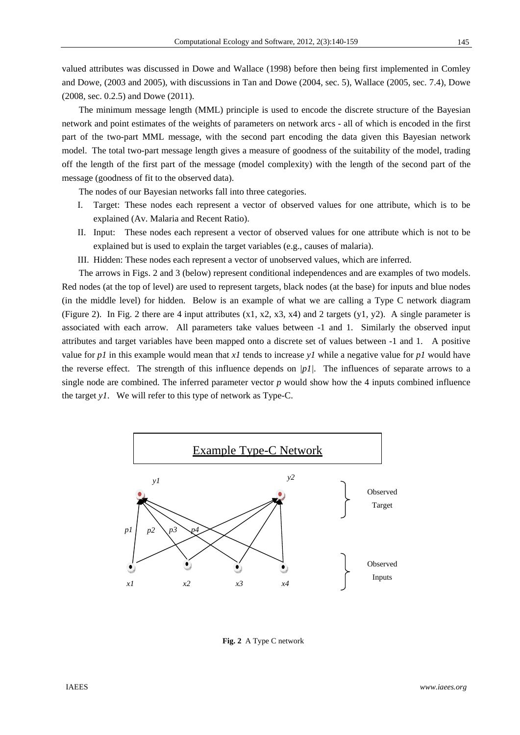valued attributes was discussed in Dowe and Wallace (1998) before then being first implemented in Comley and Dowe, (2003 and 2005), with discussions in Tan and Dowe (2004, sec. 5), Wallace (2005, sec. 7.4), Dowe (2008, sec. 0.2.5) and Dowe (2011).

The minimum message length (MML) principle is used to encode the discrete structure of the Bayesian network and point estimates of the weights of parameters on network arcs - all of which is encoded in the first part of the two-part MML message, with the second part encoding the data given this Bayesian network model. The total two-part message length gives a measure of goodness of the suitability of the model, trading off the length of the first part of the message (model complexity) with the length of the second part of the message (goodness of fit to the observed data).

The nodes of our Bayesian networks fall into three categories.

- I. Target: These nodes each represent a vector of observed values for one attribute, which is to be explained (Av. Malaria and Recent Ratio).
- II. Input: These nodes each represent a vector of observed values for one attribute which is not to be explained but is used to explain the target variables (e.g., causes of malaria).

III. Hidden: These nodes each represent a vector of unobserved values, which are inferred.

The arrows in Figs. 2 and 3 (below) represent conditional independences and are examples of two models. Red nodes (at the top of level) are used to represent targets, black nodes (at the base) for inputs and blue nodes (in the middle level) for hidden. Below is an example of what we are calling a Type C network diagram (Figure 2). In Fig. 2 there are 4 input attributes (x1, x2, x3, x4) and 2 targets (y1, y2). A single parameter is associated with each arrow. All parameters take values between -1 and 1. Similarly the observed input attributes and target variables have been mapped onto a discrete set of values between -1 and 1. A positive value for  $p1$  in this example would mean that  $x1$  tends to increase  $y1$  while a negative value for  $p1$  would have the reverse effect. The strength of this influence depends on *|p1|.* The influences of separate arrows to a single node are combined. The inferred parameter vector *p* would show how the 4 inputs combined influence the target *y1*. We will refer to this type of network as Type-C.



**Fig. 2** A Type C network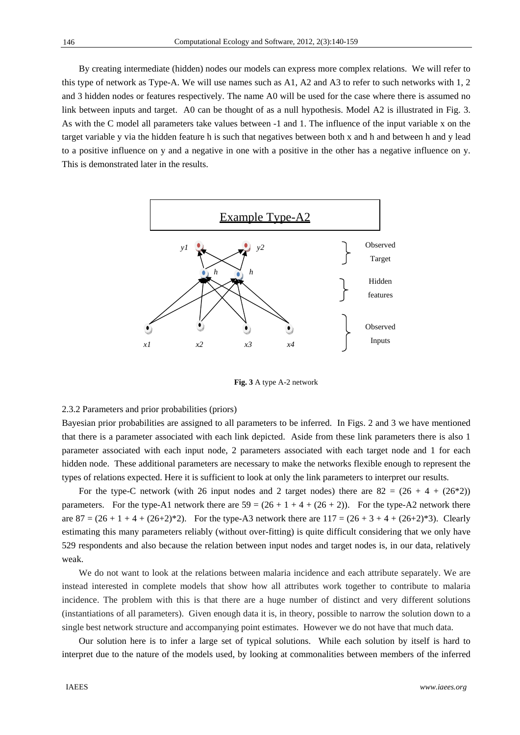By creating intermediate (hidden) nodes our models can express more complex relations. We will refer to this type of network as Type-A. We will use names such as A1, A2 and A3 to refer to such networks with 1, 2 and 3 hidden nodes or features respectively. The name A0 will be used for the case where there is assumed no link between inputs and target. A0 can be thought of as a null hypothesis. Model A2 is illustrated in Fig. 3. As with the C model all parameters take values between -1 and 1. The influence of the input variable x on the target variable y via the hidden feature h is such that negatives between both x and h and between h and y lead to a positive influence on y and a negative in one with a positive in the other has a negative influence on y. This is demonstrated later in the results.



**Fig. 3** A type A-2 network

## 2.3.2 Parameters and prior probabilities (priors)

Bayesian prior probabilities are assigned to all parameters to be inferred. In Figs. 2 and 3 we have mentioned that there is a parameter associated with each link depicted. Aside from these link parameters there is also 1 parameter associated with each input node, 2 parameters associated with each target node and 1 for each hidden node. These additional parameters are necessary to make the networks flexible enough to represent the types of relations expected. Here it is sufficient to look at only the link parameters to interpret our results.

For the type-C network (with 26 input nodes and 2 target nodes) there are  $82 = (26 + 4 + (26 * 2))$ parameters. For the type-A1 network there are  $59 = (26 + 1 + 4 + (26 + 2))$ . For the type-A2 network there are  $87 = (26 + 1 + 4 + (26+2)*2)$ . For the type-A3 network there are  $117 = (26 + 3 + 4 + (26+2)*3)$ . Clearly estimating this many parameters reliably (without over-fitting) is quite difficult considering that we only have 529 respondents and also because the relation between input nodes and target nodes is, in our data, relatively weak.

We do not want to look at the relations between malaria incidence and each attribute separately. We are instead interested in complete models that show how all attributes work together to contribute to malaria incidence. The problem with this is that there are a huge number of distinct and very different solutions (instantiations of all parameters). Given enough data it is, in theory, possible to narrow the solution down to a single best network structure and accompanying point estimates. However we do not have that much data.

Our solution here is to infer a large set of typical solutions. While each solution by itself is hard to interpret due to the nature of the models used, by looking at commonalities between members of the inferred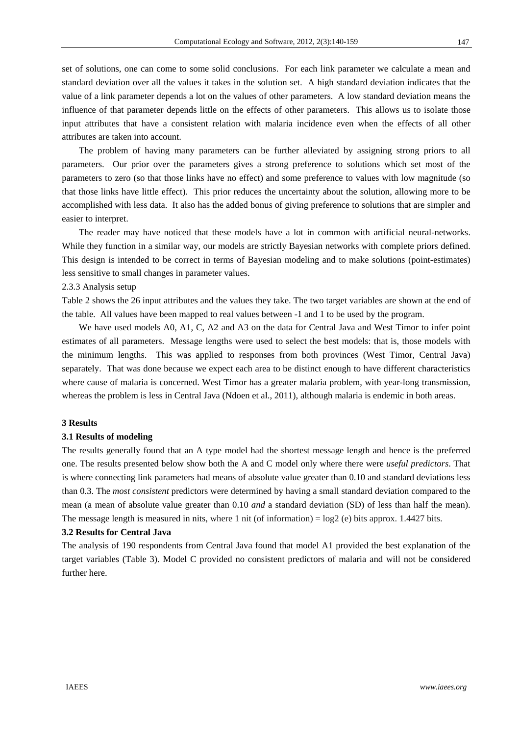set of solutions, one can come to some solid conclusions. For each link parameter we calculate a mean and standard deviation over all the values it takes in the solution set. A high standard deviation indicates that the value of a link parameter depends a lot on the values of other parameters. A low standard deviation means the influence of that parameter depends little on the effects of other parameters. This allows us to isolate those input attributes that have a consistent relation with malaria incidence even when the effects of all other attributes are taken into account.

The problem of having many parameters can be further alleviated by assigning strong priors to all parameters. Our prior over the parameters gives a strong preference to solutions which set most of the parameters to zero (so that those links have no effect) and some preference to values with low magnitude (so that those links have little effect). This prior reduces the uncertainty about the solution, allowing more to be accomplished with less data. It also has the added bonus of giving preference to solutions that are simpler and easier to interpret.

The reader may have noticed that these models have a lot in common with artificial neural-networks. While they function in a similar way, our models are strictly Bayesian networks with complete priors defined. This design is intended to be correct in terms of Bayesian modeling and to make solutions (point-estimates) less sensitive to small changes in parameter values.

#### 2.3.3 Analysis setup

Table 2 shows the 26 input attributes and the values they take. The two target variables are shown at the end of the table. All values have been mapped to real values between -1 and 1 to be used by the program.

We have used models A0, A1, C, A2 and A3 on the data for Central Java and West Timor to infer point estimates of all parameters. Message lengths were used to select the best models: that is, those models with the minimum lengths. This was applied to responses from both provinces (West Timor, Central Java) separately. That was done because we expect each area to be distinct enough to have different characteristics where cause of malaria is concerned. West Timor has a greater malaria problem, with year-long transmission, whereas the problem is less in Central Java (Ndoen et al., 2011), although malaria is endemic in both areas.

#### **3 Results**

## **3.1 Results of modeling**

The results generally found that an A type model had the shortest message length and hence is the preferred one. The results presented below show both the A and C model only where there were *useful predictors*. That is where connecting link parameters had means of absolute value greater than 0.10 and standard deviations less than 0.3. The *most consistent* predictors were determined by having a small standard deviation compared to the mean (a mean of absolute value greater than 0.10 *and* a standard deviation (SD) of less than half the mean). The message length is measured in nits, where 1 nit (of information) =  $log2$  (e) bits approx. 1.4427 bits.

#### **3.2 Results for Central Java**

The analysis of 190 respondents from Central Java found that model A1 provided the best explanation of the target variables (Table 3). Model C provided no consistent predictors of malaria and will not be considered further here.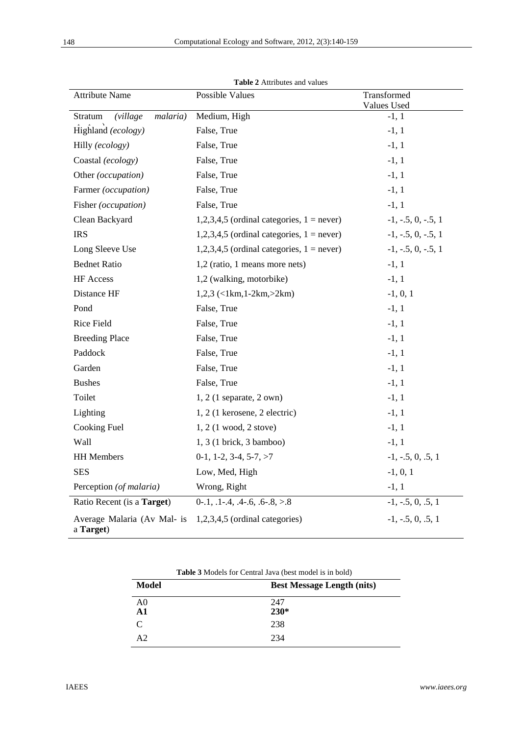| <b>Attribute Name</b>                    | Possible Values                                | Transformed<br><b>Values Used</b> |
|------------------------------------------|------------------------------------------------|-----------------------------------|
| Stratum<br><i>(village)</i><br>malaria)  | Medium, High                                   | $-1, 1$                           |
| Highland (ecology)                       | False, True<br>$-1, 1$                         |                                   |
| Hilly (ecology)                          | False, True                                    | $-1, 1$                           |
| Coastal (ecology)                        | False, True                                    | $-1, 1$                           |
| Other (occupation)                       | False, True                                    | $-1, 1$                           |
| Farmer (occupation)                      | False, True                                    | $-1, 1$                           |
| Fisher (occupation)                      | False, True                                    | $-1, 1$                           |
| Clean Backyard                           | $1,2,3,4,5$ (ordinal categories, $1 = never$ ) | $-1, -5, 0, -5, 1$                |
| <b>IRS</b>                               | 1,2,3,4,5 (ordinal categories, $1 = never$ )   | $-1, -5, 0, -5, 1$                |
| Long Sleeve Use                          | $1,2,3,4,5$ (ordinal categories, $1 = never$ ) | $-1, -5, 0, -5, 1$                |
| <b>Bednet Ratio</b>                      | 1,2 (ratio, 1 means more nets)                 | $-1, 1$                           |
| HF Access                                | 1,2 (walking, motorbike)                       | $-1, 1$                           |
| Distance HF                              | $1,2,3$ (<1km,1-2km,>2km)                      | $-1, 0, 1$                        |
| Pond                                     | False, True                                    | $-1, 1$                           |
| Rice Field                               | False, True                                    | $-1, 1$                           |
| <b>Breeding Place</b>                    | False, True                                    | $-1, 1$                           |
| Paddock                                  | False, True                                    | $-1, 1$                           |
| Garden                                   | False, True                                    | $-1, 1$                           |
| <b>Bushes</b>                            | False, True                                    | $-1, 1$                           |
| Toilet                                   | $1, 2$ (1 separate, 2 own)                     | $-1, 1$                           |
| Lighting                                 | 1, 2 (1 kerosene, 2 electric)                  | $-1, 1$                           |
| <b>Cooking Fuel</b>                      | 1, 2 (1 wood, 2 stove)                         | $-1, 1$                           |
| <b>Wall</b>                              | 1, 3 (1 brick, 3 bamboo)                       | $-1, 1$                           |
| <b>HH</b> Members                        | $0-1$ , 1-2, 3-4, 5-7, >7                      | $-1, -5, 0, .5, 1$                |
| <b>SES</b>                               | $-1, 0, 1$<br>Low, Med, High                   |                                   |
| Perception (of malaria)                  | Wrong, Right                                   | $-1, 1$                           |
| Ratio Recent (is a Target)               | $0-1, 1-4, 4-6, 6-8, >8$                       | $-1, -5, 0, .5, 1$                |
| Average Malaria (Av Mal- is<br>a Target) | $1,2,3,4,5$ (ordinal categories)               | $-1, -5, 0, .5, 1$                |

**Table 2** Attributes and values

| <b>Table 3</b> Models for Central Java (best model is in bold) |                                   |  |
|----------------------------------------------------------------|-----------------------------------|--|
| Model                                                          | <b>Best Message Length (nits)</b> |  |
| A <sub>0</sub><br>A <sub>1</sub>                               | 247<br>$230*$                     |  |
| C                                                              | 238                               |  |
| $\Delta$ 2                                                     | 234                               |  |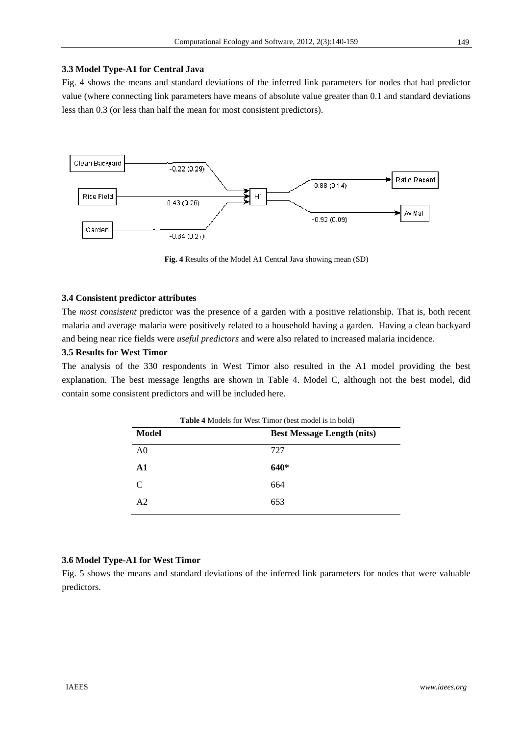# **3.3 Model Type-A1 for Central Java**

Fig. 4 shows the means and standard deviations of the inferred link parameters for nodes that had predictor value (where connecting link parameters have means of absolute value greater than 0.1 and standard deviations less than 0.3 (or less than half the mean for most consistent predictors).



**Fig. 4** Results of the Model A1 Central Java showing mean (SD)

#### **3.4 Consistent predictor attributes**

The *most consistent* predictor was the presence of a garden with a positive relationship. That is, both recent malaria and average malaria were positively related to a household having a garden. Having a clean backyard and being near rice fields were *useful predictors* and were also related to increased malaria incidence.

# **3.5 Results for West Timor**

The analysis of the 330 respondents in West Timor also resulted in the A1 model providing the best explanation. The best message lengths are shown in Table 4. Model C, although not the best model, did contain some consistent predictors and will be included here.

|                | <b>Table 4</b> Models for West Timor (best model is in bold) |  |
|----------------|--------------------------------------------------------------|--|
| Model          | <b>Best Message Length (nits)</b>                            |  |
| A <sub>0</sub> | 727                                                          |  |
| A1             | $640*$                                                       |  |
| $\mathcal{C}$  | 664                                                          |  |
| A <sub>2</sub> | 653                                                          |  |
|                |                                                              |  |

#### **3.6 Model Type-A1 for West Timor**

Fig. 5 shows the means and standard deviations of the inferred link parameters for nodes that were valuable predictors.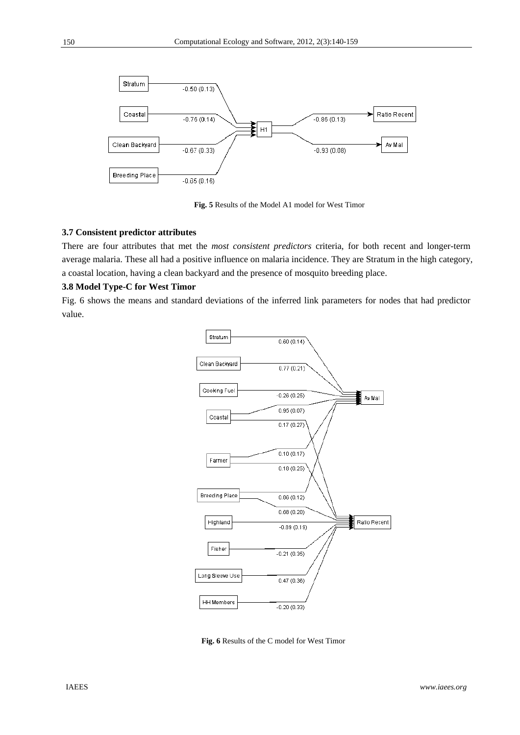

**Fig. 5** Results of the Model A1 model for West Timor

# **3.7 Consistent predictor attributes**

There are four attributes that met the *most consistent predictors* criteria, for both recent and longer-term average malaria. These all had a positive influence on malaria incidence. They are Stratum in the high category, a coastal location, having a clean backyard and the presence of mosquito breeding place.

# **3.8 Model Type-C for West Timor**

Fig. 6 shows the means and standard deviations of the inferred link parameters for nodes that had predictor value.



**Fig. 6** Results of the C model for West Timor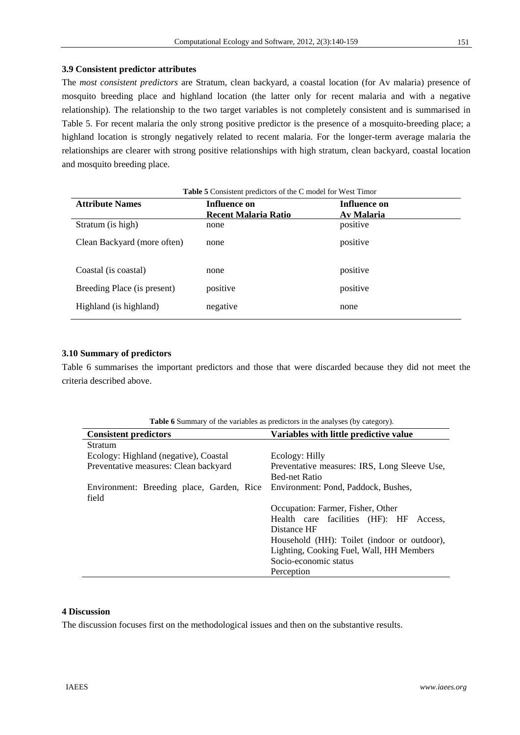# **3.9 Consistent predictor attributes**

The *most consistent predictors* are Stratum, clean backyard, a coastal location (for Av malaria) presence of mosquito breeding place and highland location (the latter only for recent malaria and with a negative relationship). The relationship to the two target variables is not completely consistent and is summarised in Table 5. For recent malaria the only strong positive predictor is the presence of a mosquito-breeding place; a highland location is strongly negatively related to recent malaria. For the longer-term average malaria the relationships are clearer with strong positive relationships with high stratum, clean backyard, coastal location and mosquito breeding place.

| <b>Table 5</b> Consistent predictors of the C model for West Timor |                             |              |
|--------------------------------------------------------------------|-----------------------------|--------------|
| <b>Attribute Names</b>                                             | Influence on                | Influence on |
|                                                                    | <b>Recent Malaria Ratio</b> | Av Malaria   |
| Stratum (is high)                                                  | none                        | positive     |
| Clean Backyard (more often)                                        | none                        | positive     |
| Coastal (is coastal)                                               | none                        | positive     |
| Breeding Place (is present)                                        | positive                    | positive     |
| Highland (is highland)                                             | negative                    | none         |

# **3.10 Summary of predictors**

Table 6 summarises the important predictors and those that were discarded because they did not meet the criteria described above.

| <b>Table 6</b> Summary of the variables as predictors in the analyses (by category). |  |  |
|--------------------------------------------------------------------------------------|--|--|
|                                                                                      |  |  |

| <b>Consistent predictors</b>                                                           | Variables with little predictive value       |  |
|----------------------------------------------------------------------------------------|----------------------------------------------|--|
| Stratum                                                                                |                                              |  |
| Ecology: Highland (negative), Coastal                                                  | Ecology: Hilly                               |  |
| Preventative measures: Clean backyard                                                  | Preventative measures: IRS, Long Sleeve Use, |  |
|                                                                                        | <b>Bed-net Ratio</b>                         |  |
| Environment: Breeding place, Garden, Rice Environment: Pond, Paddock, Bushes,<br>field |                                              |  |
|                                                                                        | Occupation: Farmer, Fisher, Other            |  |
|                                                                                        | Health care facilities (HF): HF<br>Access.   |  |
|                                                                                        | Distance HF                                  |  |
|                                                                                        | Household (HH): Toilet (indoor or outdoor),  |  |
|                                                                                        | Lighting, Cooking Fuel, Wall, HH Members     |  |
|                                                                                        | Socio-economic status                        |  |
|                                                                                        | Perception                                   |  |

# **4 Discussion**

The discussion focuses first on the methodological issues and then on the substantive results.

151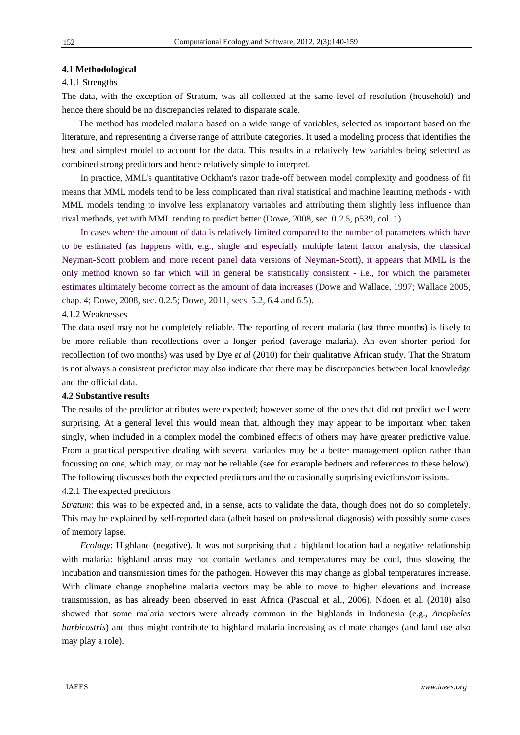## **4.1 Methodological**

#### 4.1.1 Strengths

The data, with the exception of Stratum, was all collected at the same level of resolution (household) and hence there should be no discrepancies related to disparate scale.

The method has modeled malaria based on a wide range of variables, selected as important based on the literature, and representing a diverse range of attribute categories. It used a modeling process that identifies the best and simplest model to account for the data. This results in a relatively few variables being selected as combined strong predictors and hence relatively simple to interpret.

In practice, MML's quantitative Ockham's razor trade-off between model complexity and goodness of fit means that MML models tend to be less complicated than rival statistical and machine learning methods - with MML models tending to involve less explanatory variables and attributing them slightly less influence than rival methods, yet with MML tending to predict better (Dowe, 2008, sec. 0.2.5, p539, col. 1).

In cases where the amount of data is relatively limited compared to the number of parameters which have to be estimated (as happens with, e.g., single and especially multiple latent factor analysis, the classical Neyman-Scott problem and more recent panel data versions of Neyman-Scott), it appears that MML is the only method known so far which will in general be statistically consistent - i.e., for which the parameter estimates ultimately become correct as the amount of data increases (Dowe and Wallace, 1997; Wallace 2005, chap. 4; Dowe, 2008, sec. 0.2.5; Dowe, 2011, secs. 5.2, 6.4 and 6.5).

## 4.1.2 Weaknesses

The data used may not be completely reliable. The reporting of recent malaria (last three months) is likely to be more reliable than recollections over a longer period (average malaria). An even shorter period for recollection (of two months) was used by Dye *et al* (2010) for their qualitative African study. That the Stratum is not always a consistent predictor may also indicate that there may be discrepancies between local knowledge and the official data.

#### **4.2 Substantive results**

The results of the predictor attributes were expected; however some of the ones that did not predict well were surprising. At a general level this would mean that, although they may appear to be important when taken singly, when included in a complex model the combined effects of others may have greater predictive value. From a practical perspective dealing with several variables may be a better management option rather than focussing on one, which may, or may not be reliable (see for example bednets and references to these below). The following discusses both the expected predictors and the occasionally surprising evictions/omissions.

#### 4.2.1 The expected predictors

*Stratum*: this was to be expected and, in a sense, acts to validate the data, though does not do so completely. This may be explained by self-reported data (albeit based on professional diagnosis) with possibly some cases of memory lapse.

*Ecology*: Highland (negative). It was not surprising that a highland location had a negative relationship with malaria: highland areas may not contain wetlands and temperatures may be cool, thus slowing the incubation and transmission times for the pathogen. However this may change as global temperatures increase. With climate change anopheline malaria vectors may be able to move to higher elevations and increase transmission, as has already been observed in east Africa (Pascual et al., 2006). Ndoen et al. (2010) also showed that some malaria vectors were already common in the highlands in Indonesia (e.g., *Anopheles barbirostris*) and thus might contribute to highland malaria increasing as climate changes (and land use also may play a role).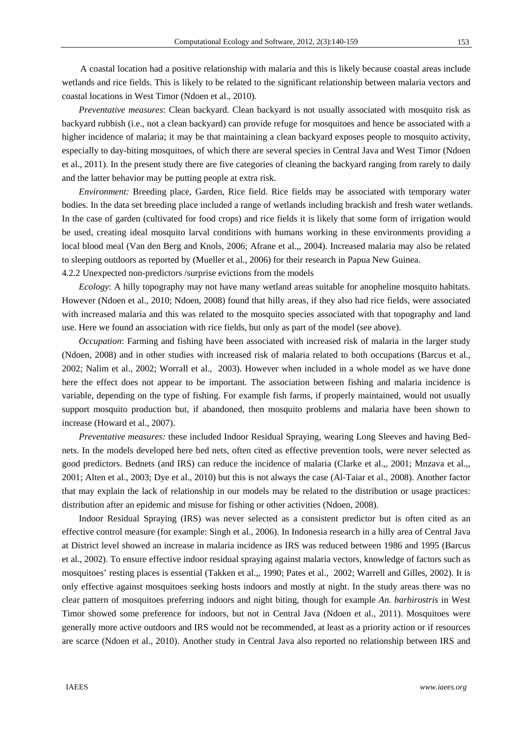A coastal location had a positive relationship with malaria and this is likely because coastal areas include wetlands and rice fields. This is likely to be related to the significant relationship between malaria vectors and coastal locations in West Timor (Ndoen et al., 2010).

*Preventative measures*: Clean backyard. Clean backyard is not usually associated with mosquito risk as backyard rubbish (i.e., not a clean backyard) can provide refuge for mosquitoes and hence be associated with a higher incidence of malaria; it may be that maintaining a clean backyard exposes people to mosquito activity, especially to day-biting mosquitoes, of which there are several species in Central Java and West Timor (Ndoen et al., 2011). In the present study there are five categories of cleaning the backyard ranging from rarely to daily and the latter behavior may be putting people at extra risk.

*Environment:* Breeding place, Garden, Rice field. Rice fields may be associated with temporary water bodies. In the data set breeding place included a range of wetlands including brackish and fresh water wetlands. In the case of garden (cultivated for food crops) and rice fields it is likely that some form of irrigation would be used, creating ideal mosquito larval conditions with humans working in these environments providing a local blood meal (Van den Berg and Knols, 2006; Afrane et al.,*,* 2004). Increased malaria may also be related to sleeping outdoors as reported by (Mueller et al., 2006) for their research in Papua New Guinea. 4.2.2 Unexpected non-predictors /surprise evictions from the models

*Ecology*: A hilly topography may not have many wetland areas suitable for anopheline mosquito habitats. However (Ndoen et al., 2010; Ndoen, 2008) found that hilly areas, if they also had rice fields, were associated with increased malaria and this was related to the mosquito species associated with that topography and land use. Here we found an association with rice fields, but only as part of the model (see above).

*Occupation*: Farming and fishing have been associated with increased risk of malaria in the larger study (Ndoen, 2008) and in other studies with increased risk of malaria related to both occupations (Barcus et al., 2002; Nalim et al., 2002; Worrall et al., 2003). However when included in a whole model as we have done here the effect does not appear to be important. The association between fishing and malaria incidence is variable, depending on the type of fishing. For example fish farms, if properly maintained, would not usually support mosquito production but, if abandoned, then mosquito problems and malaria have been shown to increase (Howard et al., 2007).

*Preventative measures:* these included Indoor Residual Spraying, wearing Long Sleeves and having Bednets. In the models developed here bed nets, often cited as effective prevention tools, were never selected as good predictors. Bednets (and IRS) can reduce the incidence of malaria (Clarke et al.,*,* 2001; Mnzava et al.,*,* 2001; Alten et al., 2003; Dye et al., 2010) but this is not always the case (Al-Taiar et al., 2008). Another factor that may explain the lack of relationship in our models may be related to the distribution or usage practices: distribution after an epidemic and misuse for fishing or other activities (Ndoen, 2008).

Indoor Residual Spraying (IRS) was never selected as a consistent predictor but is often cited as an effective control measure (for example: Singh et al., 2006). In Indonesia research in a hilly area of Central Java at District level showed an increase in malaria incidence as IRS was reduced between 1986 and 1995 (Barcus et al., 2002). To ensure effective indoor residual spraying against malaria vectors, knowledge of factors such as mosquitoes' resting places is essential (Takken et al.,*,* 1990; Pates et al., 2002; Warrell and Gilles, 2002). It is only effective against mosquitoes seeking hosts indoors and mostly at night. In the study areas there was no clear pattern of mosquitoes preferring indoors and night biting, though for example *An. barbirostris* in West Timor showed some preference for indoors, but not in Central Java (Ndoen et al., 2011). Mosquitoes were generally more active outdoors and IRS would not be recommended, at least as a priority action or if resources are scarce (Ndoen et al.*,* 2010). Another study in Central Java also reported no relationship between IRS and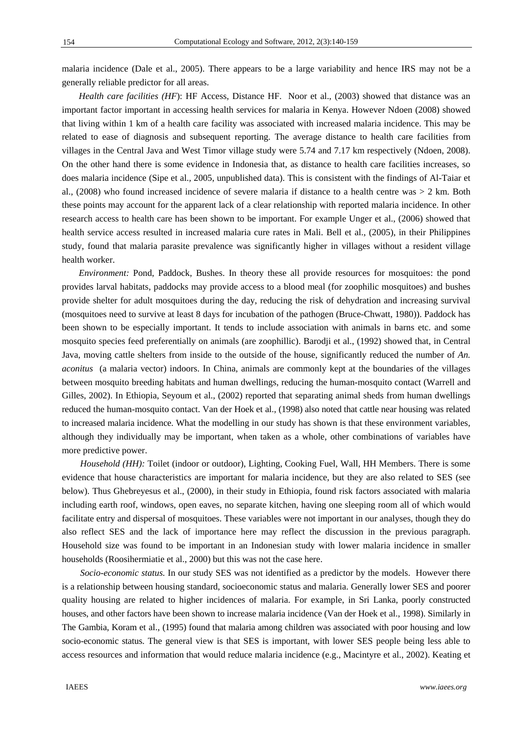malaria incidence (Dale et al., 2005). There appears to be a large variability and hence IRS may not be a generally reliable predictor for all areas.

*Health care facilities (HF)*: HF Access, Distance HF. Noor et al., (2003) showed that distance was an important factor important in accessing health services for malaria in Kenya. However Ndoen (2008) showed that living within 1 km of a health care facility was associated with increased malaria incidence. This may be related to ease of diagnosis and subsequent reporting. The average distance to health care facilities from villages in the Central Java and West Timor village study were 5.74 and 7.17 km respectively (Ndoen, 2008). On the other hand there is some evidence in Indonesia that, as distance to health care facilities increases, so does malaria incidence (Sipe et al.*,* 2005, unpublished data). This is consistent with the findings of Al-Taiar et al., (2008) who found increased incidence of severe malaria if distance to a health centre was > 2 km. Both these points may account for the apparent lack of a clear relationship with reported malaria incidence. In other research access to health care has been shown to be important. For example Unger et al., (2006) showed that health service access resulted in increased malaria cure rates in Mali. Bell et al., (2005), in their Philippines study, found that malaria parasite prevalence was significantly higher in villages without a resident village health worker.

*Environment:* Pond, Paddock, Bushes. In theory these all provide resources for mosquitoes: the pond provides larval habitats, paddocks may provide access to a blood meal (for zoophilic mosquitoes) and bushes provide shelter for adult mosquitoes during the day, reducing the risk of dehydration and increasing survival (mosquitoes need to survive at least 8 days for incubation of the pathogen (Bruce-Chwatt, 1980)). Paddock has been shown to be especially important. It tends to include association with animals in barns etc. and some mosquito species feed preferentially on animals (are zoophillic). Barodji et al., (1992) showed that, in Central Java, moving cattle shelters from inside to the outside of the house, significantly reduced the number of *An. aconitus* (a malaria vector) indoors. In China, animals are commonly kept at the boundaries of the villages between mosquito breeding habitats and human dwellings, reducing the human-mosquito contact (Warrell and Gilles, 2002). In Ethiopia, Seyoum et al., (2002) reported that separating animal sheds from human dwellings reduced the human-mosquito contact. Van der Hoek et al., (1998) also noted that cattle near housing was related to increased malaria incidence. What the modelling in our study has shown is that these environment variables, although they individually may be important, when taken as a whole, other combinations of variables have more predictive power.

*Household (HH):* Toilet (indoor or outdoor), Lighting, Cooking Fuel, Wall, HH Members. There is some evidence that house characteristics are important for malaria incidence, but they are also related to SES (see below). Thus Ghebreyesus et al., (2000), in their study in Ethiopia, found risk factors associated with malaria including earth roof, windows, open eaves, no separate kitchen, having one sleeping room all of which would facilitate entry and dispersal of mosquitoes. These variables were not important in our analyses, though they do also reflect SES and the lack of importance here may reflect the discussion in the previous paragraph. Household size was found to be important in an Indonesian study with lower malaria incidence in smaller households (Roosihermiatie et al., 2000) but this was not the case here.

*Socio-economic status.* In our study SES was not identified as a predictor by the models. However there is a relationship between housing standard, socioeconomic status and malaria. Generally lower SES and poorer quality housing are related to higher incidences of malaria. For example, in Sri Lanka, poorly constructed houses, and other factors have been shown to increase malaria incidence (Van der Hoek et al., 1998). Similarly in The Gambia, Koram et al., (1995) found that malaria among children was associated with poor housing and low socio-economic status. The general view is that SES is important, with lower SES people being less able to access resources and information that would reduce malaria incidence (e.g., Macintyre et al., 2002). Keating et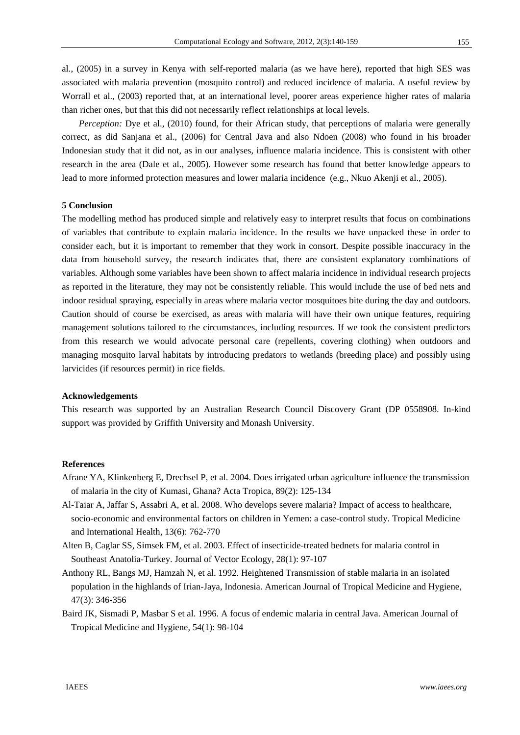al., (2005) in a survey in Kenya with self-reported malaria (as we have here), reported that high SES was associated with malaria prevention (mosquito control) and reduced incidence of malaria. A useful review by Worrall et al., (2003) reported that, at an international level, poorer areas experience higher rates of malaria than richer ones, but that this did not necessarily reflect relationships at local levels.

*Perception:* Dye et al., (2010) found, for their African study, that perceptions of malaria were generally correct, as did Sanjana et al., (2006) for Central Java and also Ndoen (2008) who found in his broader Indonesian study that it did not, as in our analyses, influence malaria incidence. This is consistent with other research in the area (Dale et al., 2005). However some research has found that better knowledge appears to lead to more informed protection measures and lower malaria incidence (e.g., Nkuo Akenji et al., 2005).

# **5 Conclusion**

The modelling method has produced simple and relatively easy to interpret results that focus on combinations of variables that contribute to explain malaria incidence. In the results we have unpacked these in order to consider each, but it is important to remember that they work in consort. Despite possible inaccuracy in the data from household survey, the research indicates that, there are consistent explanatory combinations of variables. Although some variables have been shown to affect malaria incidence in individual research projects as reported in the literature, they may not be consistently reliable. This would include the use of bed nets and indoor residual spraying, especially in areas where malaria vector mosquitoes bite during the day and outdoors. Caution should of course be exercised, as areas with malaria will have their own unique features, requiring management solutions tailored to the circumstances, including resources. If we took the consistent predictors from this research we would advocate personal care (repellents, covering clothing) when outdoors and managing mosquito larval habitats by introducing predators to wetlands (breeding place) and possibly using larvicides (if resources permit) in rice fields.

#### **Acknowledgements**

This research was supported by an Australian Research Council Discovery Grant (DP 0558908. In-kind support was provided by Griffith University and Monash University.

#### **References**

- Afrane YA, Klinkenberg E, Drechsel P, et al. 2004. Does irrigated urban agriculture influence the transmission of malaria in the city of Kumasi, Ghana? Acta Tropica*,* 89(2): 125-134
- Al-Taiar A, Jaffar S, Assabri A, et al. 2008. Who develops severe malaria? Impact of access to healthcare, socio-economic and environmental factors on children in Yemen: a case-control study. Tropical Medicine and International Health, 13(6): 762-770
- Alten B, Caglar SS, Simsek FM, et al. 2003. Effect of insecticide-treated bednets for malaria control in Southeast Anatolia-Turkey. Journal of Vector Ecology, 28(1): 97-107
- Anthony RL, Bangs MJ, Hamzah N, et al. 1992. Heightened Transmission of stable malaria in an isolated population in the highlands of Irian-Jaya, Indonesia. American Journal of Tropical Medicine and Hygiene, 47(3): 346-356
- Baird JK, Sismadi P, Masbar S et al. 1996. A focus of endemic malaria in central Java. American Journal of Tropical Medicine and Hygiene, 54(1): 98-104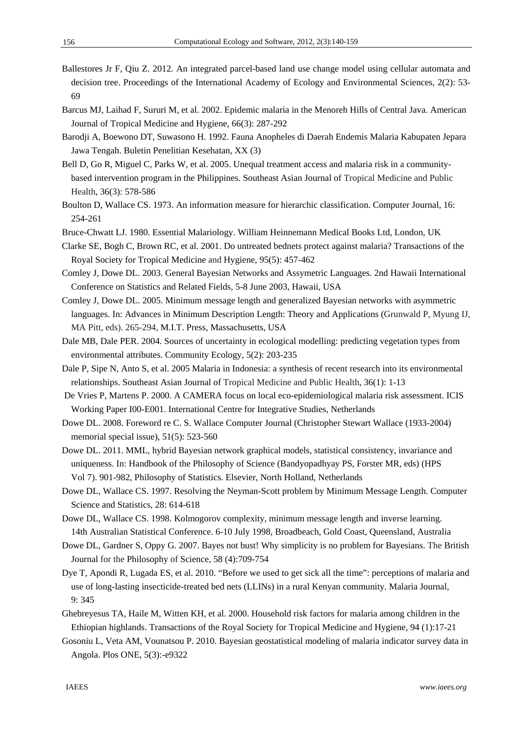- Ballestores Jr F, Qiu Z. 2012. An integrated parcel-based land use change model using cellular automata and decision tree. Proceedings of the International Academy of Ecology and Environmental Sciences, 2(2): 53- 69
- Barcus MJ, Laihad F, Sururi M, et al. 2002. Epidemic malaria in the Menoreh Hills of Central Java. American Journal of Tropical Medicine and Hygiene, 66(3): 287-292
- Barodji A, Boewono DT, Suwasono H. 1992. Fauna Anopheles di Daerah Endemis Malaria Kabupaten Jepara Jawa Tengah. Buletin Penelitian Kesehatan, XX (3)
- Bell D, Go R, Miguel C, Parks W, et al. 2005. Unequal treatment access and malaria risk in a communitybased intervention program in the Philippines. Southeast Asian Journal of Tropical Medicine and Public Health, 36(3): 578-586
- Boulton D, Wallace CS. 1973. An information measure for hierarchic classification. Computer Journal, 16: 254-261

Bruce-Chwatt LJ. 1980. Essential Malariology. William Heinnemann Medical Books Ltd, London, UK

Clarke SE, Bogh C, Brown RC, et al. 2001. Do untreated bednets protect against malaria? Transactions of the Royal Society for Tropical Medicine and Hygiene*,* 95(5): 457-462

- Comley J, Dowe DL. 2003. General Bayesian Networks and Assymetric Languages. 2nd Hawaii International Conference on Statistics and Related Fields, 5-8 June 2003, Hawaii, USA
- Comley J, Dowe DL. 2005. Minimum message length and generalized Bayesian networks with asymmetric languages. In: Advances in Minimum Description Length: Theory and Applications (Grunwald P, Myung IJ, MA Pitt, eds). 265-294, M.I.T. Press, Massachusetts, USA
- Dale MB, Dale PER. 2004. Sources of uncertainty in ecological modelling: predicting vegetation types from environmental attributes. Community Ecology, 5(2): 203-235
- Dale P, Sipe N, Anto S, et al. 2005 Malaria in Indonesia: a synthesis of recent research into its environmental relationships. Southeast Asian Journal of Tropical Medicine and Public Health, 36(1): 1-13
- De Vries P, Martens P. 2000. A CAMERA focus on local eco-epidemiological malaria risk assessment. ICIS Working Paper I00-E001. International Centre for Integrative Studies, Netherlands
- Dowe DL. 2008. Foreword re C. S. Wallace Computer Journal (Christopher Stewart Wallace (1933-2004) memorial special issue), 51(5): 523-560
- Dowe DL. 2011. MML, hybrid Bayesian network graphical models, statistical consistency, invariance and uniqueness. In: Handbook of the Philosophy of Science (Bandyopadhyay PS, Forster MR, eds) (HPS Vol 7). 901-982, Philosophy of Statistics. Elsevier, North Holland, Netherlands
- Dowe DL, Wallace CS. 1997. Resolving the Neyman-Scott problem by Minimum Message Length. Computer Science and Statistics*,* 28: 614-618
- Dowe DL, Wallace CS. 1998. Kolmogorov complexity, minimum message length and inverse learning. 14th Australian Statistical Conference. 6-10 July 1998, Broadbeach, Gold Coast, Queensland, Australia
- Dowe DL, Gardner S, Oppy G. 2007. Bayes not bust! Why simplicity is no problem for Bayesians. The British Journal for the Philosophy of Science, 58 (4):709-754
- Dye T, Apondi R, Lugada ES, et al. 2010. "Before we used to get sick all the time": perceptions of malaria and use of long-lasting insecticide-treated bed nets (LLINs) in a rural Kenyan community. Malaria Journal, 9: 345
- Ghebreyesus TA, Haile M, Witten KH, et al. 2000. Household risk factors for malaria among children in the Ethiopian highlands. Transactions of the Royal Society for Tropical Medicine and Hygiene*,* 94 (1):17-21
- Gosoniu L, Veta AM, Vounatsou P. 2010. Bayesian geostatistical modeling of malaria indicator survey data in Angola. Plos ONE, 5(3):-e9322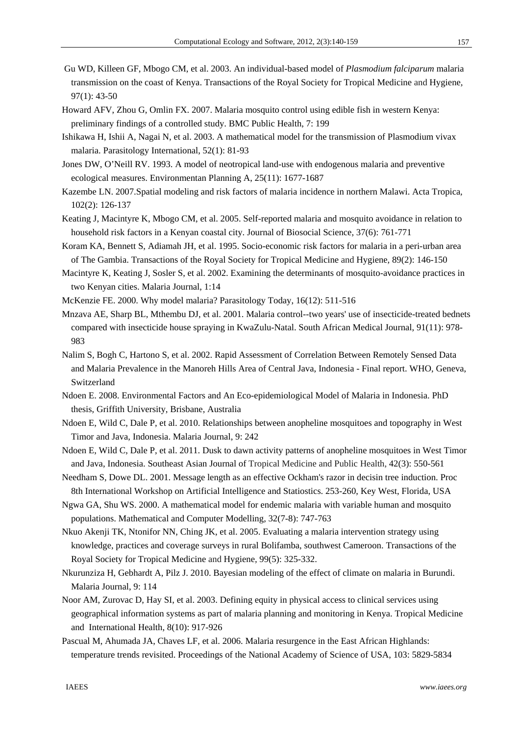- Gu WD, Killeen GF, Mbogo CM, et al. 2003. An individual-based model of *Plasmodium falciparum* malaria transmission on the coast of Kenya. Transactions of the Royal Society for Tropical Medicine and Hygiene*,*  97(1): 43-50
- Howard AFV, Zhou G, Omlin FX. 2007. Malaria mosquito control using edible fish in western Kenya: preliminary findings of a controlled study. BMC Public Health, 7: 199
- Ishikawa H, Ishii A, Nagai N, et al. 2003. A mathematical model for the transmission of Plasmodium vivax malaria. Parasitology International, 52(1): 81-93
- Jones DW, O'Neill RV. 1993. A model of neotropical land-use with endogenous malaria and preventive ecological measures. Environmentan Planning A, 25(11): 1677-1687
- Kazembe LN. 2007.Spatial modeling and risk factors of malaria incidence in northern Malawi. Acta Tropica*,* 102(2): 126-137
- Keating J, Macintyre K, Mbogo CM, et al. 2005. Self-reported malaria and mosquito avoidance in relation to household risk factors in a Kenyan coastal city. Journal of Biosocial Science, 37(6): 761-771
- Koram KA, Bennett S, Adiamah JH, et al. 1995. Socio-economic risk factors for malaria in a peri-urban area of The Gambia. Transactions of the Royal Society for Tropical Medicine and Hygiene*,* 89(2): 146-150
- Macintyre K, Keating J, Sosler S, et al. 2002. Examining the determinants of mosquito-avoidance practices in two Kenyan cities. Malaria Journal, 1:14
- McKenzie FE. 2000. Why model malaria? Parasitology Today, 16(12): 511-516
- Mnzava AE, Sharp BL, Mthembu DJ, et al. 2001. Malaria control--two years' use of insecticide-treated bednets compared with insecticide house spraying in KwaZulu-Natal. South African Medical Journal, 91(11): 978- 983
- Nalim S, Bogh C, Hartono S, et al. 2002. Rapid Assessment of Correlation Between Remotely Sensed Data and Malaria Prevalence in the Manoreh Hills Area of Central Java, Indonesia - Final report. WHO, Geneva, Switzerland
- Ndoen E. 2008. Environmental Factors and An Eco-epidemiological Model of Malaria in Indonesia. PhD thesis, Griffith University, Brisbane, Australia
- Ndoen E, Wild C, Dale P, et al. 2010. Relationships between anopheline mosquitoes and topography in West Timor and Java, Indonesia. Malaria Journal, 9: 242
- Ndoen E, Wild C, Dale P, et al. 2011. Dusk to dawn activity patterns of anopheline mosquitoes in West Timor and Java, Indonesia. Southeast Asian Journal of Tropical Medicine and Public Health, 42(3): 550-561
- Needham S, Dowe DL. 2001. Message length as an effective Ockham's razor in decisin tree induction. Proc 8th International Workshop on Artificial Intelligence and Statiostics. 253-260, Key West, Florida, USA
- Ngwa GA, Shu WS. 2000. A mathematical model for endemic malaria with variable human and mosquito populations. Mathematical and Computer Modelling, 32(7-8): 747-763
- Nkuo Akenji TK, Ntonifor NN, Ching JK, et al. 2005. Evaluating a malaria intervention strategy using knowledge, practices and coverage surveys in rural Bolifamba, southwest Cameroon. Transactions of the Royal Society for Tropical Medicine and Hygiene*,* 99(5): 325-332.
- Nkurunziza H, Gebhardt A, Pilz J. 2010. Bayesian modeling of the effect of climate on malaria in Burundi. Malaria Journal, 9: 114
- Noor AM, Zurovac D, Hay SI, et al. 2003. Defining equity in physical access to clinical services using geographical information systems as part of malaria planning and monitoring in Kenya. Tropical Medicine and International Health, 8(10): 917-926
- Pascual M, Ahumada JA, Chaves LF, et al. 2006. Malaria resurgence in the East African Highlands: temperature trends revisited. Proceedings of the National Academy of Science of USA, 103: 5829-5834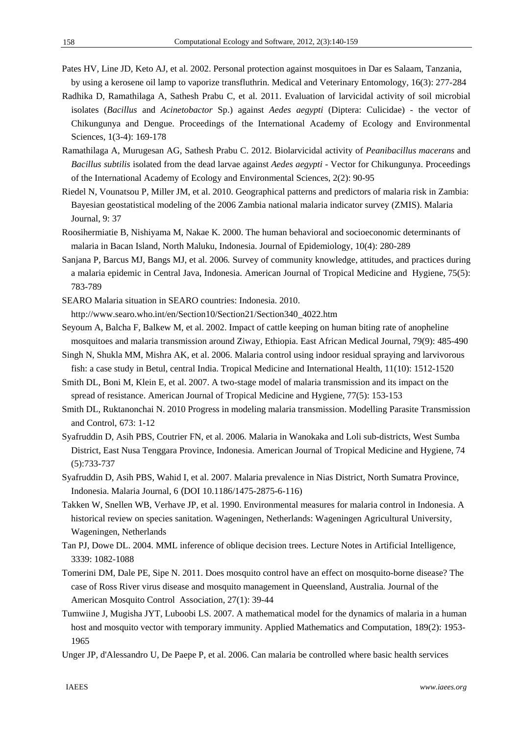- Pates HV, Line JD, Keto AJ, et al. 2002. Personal protection against mosquitoes in Dar es Salaam, Tanzania, by using a kerosene oil lamp to vaporize transfluthrin. Medical and Veterinary Entomology*,* 16(3): 277-284
- Radhika D, Ramathilaga A, Sathesh Prabu C, et al. 2011. Evaluation of larvicidal activity of soil microbial isolates (*Bacillus* and *Acinetobactor* Sp.) against *Aedes aegypti* (Diptera: Culicidae) - the vector of Chikungunya and Dengue. Proceedings of the International Academy of Ecology and Environmental Sciences, 1(3-4): 169-178
- Ramathilaga A, Murugesan AG, Sathesh Prabu C. 2012. Biolarvicidal activity of *Peanibacillus macerans* and *Bacillus subtilis* isolated from the dead larvae against *Aedes aegypti* - Vector for Chikungunya. Proceedings of the International Academy of Ecology and Environmental Sciences, 2(2): 90-95
- Riedel N, Vounatsou P, Miller JM, et al. 2010. Geographical patterns and predictors of malaria risk in Zambia: Bayesian geostatistical modeling of the 2006 Zambia national malaria indicator survey (ZMIS). Malaria Journal, 9: 37
- Roosihermiatie B, Nishiyama M, Nakae K. 2000. The human behavioral and socioeconomic determinants of malaria in Bacan Island, North Maluku, Indonesia. Journal of Epidemiology, 10(4): 280-289
- Sanjana P, Barcus MJ, Bangs MJ, et al. 2006*.* Survey of community knowledge, attitudes, and practices during a malaria epidemic in Central Java, Indonesia. American Journal of Tropical Medicine and Hygiene, 75(5): 783-789
- SEARO Malaria situation in SEARO countries: Indonesia. 2010.

http://www.searo.who.int/en/Section10/Section21/Section340\_4022.htm

- Seyoum A, Balcha F, Balkew M, et al. 2002. Impact of cattle keeping on human biting rate of anopheline mosquitoes and malaria transmission around Ziway, Ethiopia. East African Medical Journal, 79(9): 485-490
- Singh N, Shukla MM, Mishra AK, et al. 2006. Malaria control using indoor residual spraying and larvivorous fish: a case study in Betul, central India. Tropical Medicine and International Health*,* 11(10): 1512-1520
- Smith DL, Boni M, Klein E, et al. 2007. A two-stage model of malaria transmission and its impact on the spread of resistance. American Journal of Tropical Medicine and Hygiene, 77(5): 153-153
- Smith DL, Ruktanonchai N. 2010 Progress in modeling malaria transmission. Modelling Parasite Transmission and Control, 673: 1-12
- Syafruddin D, Asih PBS, Coutrier FN, et al. 2006*.* Malaria in Wanokaka and Loli sub-districts, West Sumba District, East Nusa Tenggara Province, Indonesia. American Journal of Tropical Medicine and Hygiene, 74 (5):733-737
- Syafruddin D, Asih PBS, Wahid I, et al. 2007. Malaria prevalence in Nias District, North Sumatra Province, Indonesia. Malaria Journal, 6 (DOI 10.1186/1475-2875-6-116)
- Takken W, Snellen WB, Verhave JP, et al. 1990. Environmental measures for malaria control in Indonesia. A historical review on species sanitation. Wageningen, Netherlands: Wageningen Agricultural University, Wageningen, Netherlands
- Tan PJ, Dowe DL. 2004. MML inference of oblique decision trees. Lecture Notes in Artificial Intelligence, 3339: 1082-1088
- Tomerini DM, Dale PE, Sipe N. 2011. Does mosquito control have an effect on mosquito-borne disease? The case of Ross River virus disease and mosquito management in Queensland, Australia*.* Journal of the American Mosquito Control Association, 27(1): 39-44
- Tumwiine J, Mugisha JYT, Luboobi LS. 2007. A mathematical model for the dynamics of malaria in a human host and mosquito vector with temporary immunity. Applied Mathematics and Computation, 189(2): 1953-1965
- Unger JP, d'Alessandro U, De Paepe P, et al. 2006. Can malaria be controlled where basic health services